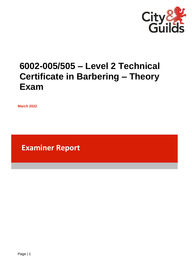

# **6002-005/505 – Level 2 Technical Certificate in Barbering – Theory Exam**

**March 2022**

**Examiner Report**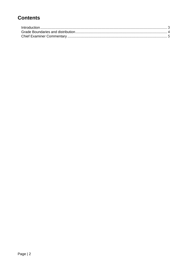# **Contents**

| Introduction 3 |  |
|----------------|--|
|                |  |
|                |  |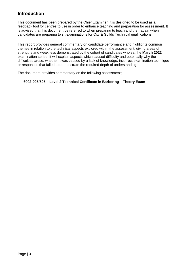## <span id="page-2-0"></span>**Introduction**

This document has been prepared by the Chief Examiner, it is designed to be used as a feedback tool for centres to use in order to enhance teaching and preparation for assessment. It is advised that this document be referred to when preparing to teach and then again when candidates are preparing to sit examinations for City & Guilds Technical qualifications.

This report provides general commentary on candidate performance and highlights common themes in relation to the technical aspects explored within the assessment, giving areas of strengths and weakness demonstrated by the cohort of candidates who sat the **March 2022** examination series. It will explain aspects which caused difficulty and potentially why the difficulties arose, whether it was caused by a lack of knowledge, incorrect examination technique or responses that failed to demonstrate the required depth of understanding.

The document provides commentary on the following assessment;

#### - **6002-005/505 – Level 2 Technical Certificate in Barbering – Theory Exam**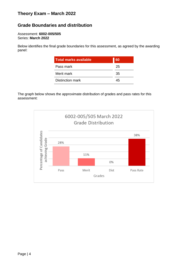# **Theory Exam – March 2022**

## <span id="page-3-0"></span>**Grade Boundaries and distribution**

#### Assessment: **6002-005/505** Series: **March 2022**

Below identifies the final grade boundaries for this assessment, as agreed by the awarding panel:

| <b>Total marks available</b> | 60 |
|------------------------------|----|
| Pass mark                    | 25 |
| Merit mark                   | 35 |
| Distinction mark             | 45 |

The graph below shows the approximate distribution of grades and pass rates for this assessment: